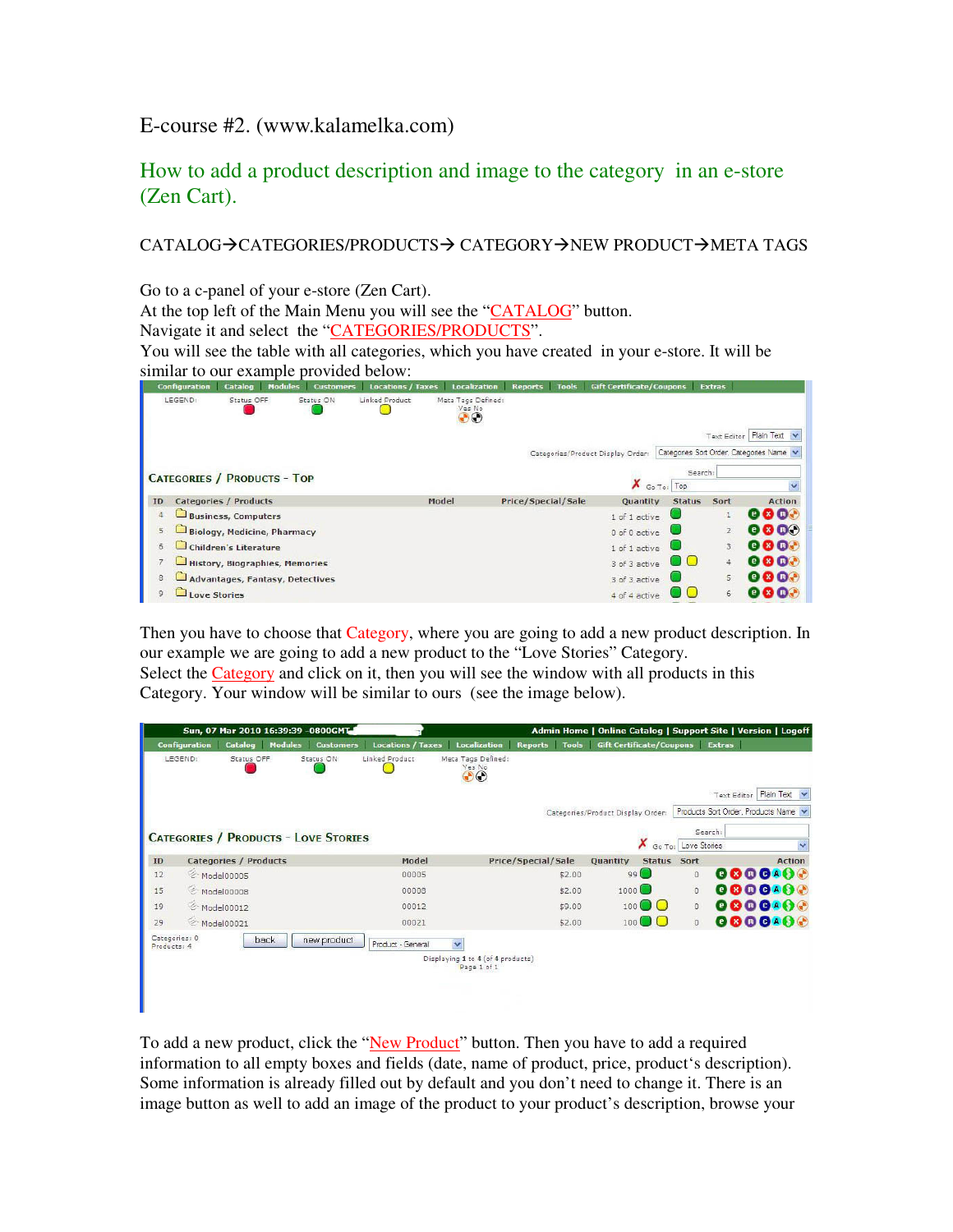E-course #2. (www.kalamelka.com)

How to add a product description and image to the category in an e-store (Zen Cart).

CATALOG→CATEGORIES/PRODUCTS→ CATEGORY→NEW PRODUCT→META TAGS

Go to a c-panel of your e-store (Zen Cart). At the top left of the Main Menu you will see the "CATALOG" button. Navigate it and select the "CATEGORIES/PRODUCTS". You will see the table with all categories, which you have created in your e-store. It will be similar to our example provided below:

|    | <b>Configuration</b> | Catalog                            | <b>Modules</b> | <b>Customers</b> | <b>Locations / Taxes</b> |       | <b>Localization</b>                | <b>Reports</b>            | <b>Tools</b> | <b>Gift Certificate/Coupons</b>   |                | <b>Extras</b>  |                                          |
|----|----------------------|------------------------------------|----------------|------------------|--------------------------|-------|------------------------------------|---------------------------|--------------|-----------------------------------|----------------|----------------|------------------------------------------|
|    | LEGEND:              | Status OFF                         |                | Status ON        | Linked Product           |       | Meta Tags Defined:<br>Yes No<br>DO |                           |              |                                   |                |                |                                          |
|    |                      |                                    |                |                  |                          |       |                                    |                           |              |                                   |                |                | Text Editor Plain Text                   |
|    |                      |                                    |                |                  |                          |       |                                    |                           |              | Categories/Product Display Order: |                |                | Categories Sort Order, Categories Name v |
|    |                      |                                    |                |                  |                          |       |                                    |                           |              |                                   |                | Search:        |                                          |
|    |                      | <b>CATEGORIES / PRODUCTS - TOP</b> |                |                  |                          |       |                                    |                           |              | Х                                 | Go To: Top     |                |                                          |
| ID |                      | <b>Categories / Products</b>       |                |                  |                          | Model |                                    | <b>Price/Special/Sale</b> |              | <b>Quantity</b>                   | <b>Status</b>  | Sort           | <b>Action</b>                            |
| 4  |                      | <b>Business, Computers</b>         |                |                  |                          |       |                                    |                           |              | 1 of 1 active                     |                |                | <b>Q 8 0.1</b>                           |
| 5  |                      | <b>Biology, Medicine, Pharmacy</b> |                |                  |                          |       |                                    |                           |              | 0 of 0 active                     |                | $\overline{2}$ | 88 QO                                    |
| 6  |                      | <b>Children's Literature</b>       |                |                  |                          |       |                                    |                           |              | 1 of 1 active                     |                | 3              | e & ox                                   |
|    |                      | History, Biographies, Memories     |                |                  |                          |       |                                    |                           |              | 3 of 3 active                     | $\Box$ $\odot$ | $\ddot{4}$     | e B o A                                  |
| 8  |                      | Advantages, Fantasy, Detectives    |                |                  |                          |       |                                    |                           |              | 3 of 3 active                     |                | 5              | <b>@ 83 @.*</b>                          |
| 9  | <b>Love Stories</b>  |                                    |                |                  |                          |       |                                    |                           |              | 4 of 4 active                     |                | 6              | $\mathbf{x}$ $\mathbf{n}$<br>et          |

Then you have to choose that Category, where you are going to add a new product description. In our example we are going to add a new product to the "Love Stories" Category.

Select the Category and click on it, then you will see the window with all products in this Category. Your window will be similar to ours (see the image below).

|                              |                      |                              |                | Sun, 07 Mar 2010 16:39:39 -0800GMT          |                          |                                                  | Admin Home   Online Catalog   Support Site   Version   Logoff |                                   |                                   |              |                                    |                        |
|------------------------------|----------------------|------------------------------|----------------|---------------------------------------------|--------------------------|--------------------------------------------------|---------------------------------------------------------------|-----------------------------------|-----------------------------------|--------------|------------------------------------|------------------------|
|                              | <b>Configuration</b> | <b>Catalog</b>               | <b>Modules</b> | <b>Customers</b>                            | <b>Locations / Taxes</b> | <b>Localization</b>                              | <b>Reports</b>                                                | Tools Gift Certificate/Coupons    |                                   |              | Extras                             |                        |
|                              | LEGEND:              | Status OFF                   |                | Status ON                                   | Linked Product           | Meta Tags Defined:<br>Yes No<br>∩                |                                                               |                                   |                                   |              |                                    |                        |
|                              |                      |                              |                |                                             |                          |                                                  |                                                               |                                   |                                   |              |                                    | Text Editor Plain Text |
|                              |                      |                              |                |                                             |                          |                                                  |                                                               | Categories/Product Display Order: |                                   |              | Products Sort Order, Products Name |                        |
|                              |                      |                              |                |                                             |                          |                                                  |                                                               |                                   |                                   |              | Search:                            |                        |
|                              |                      |                              |                | <b>CATEGORIES / PRODUCTS - LOVE STORIES</b> |                          |                                                  |                                                               |                                   | Go To:                            | Love Stories |                                    | $\checkmark$           |
| ID                           |                      | <b>Categories / Products</b> |                |                                             | Model                    |                                                  | Price/Special/Sale                                            | Quantity                          | Status Sort                       |              |                                    | <b>Action</b>          |
| 12                           |                      | Model00005                   |                |                                             | 00005                    |                                                  | \$2.00                                                        |                                   | $99$ <sup><math>\Box</math></sup> | $\circ$      |                                    | <b>@8@@A@@</b>         |
| 15                           |                      | Model00008                   |                |                                             | 00008                    |                                                  | \$2.00                                                        | 1000                              |                                   | $^{\circ}$   |                                    | <b>OOOOAO</b>          |
| 19                           |                      | → Model00012                 |                |                                             | 00012                    |                                                  | \$9.00                                                        | 100                               | <b>Extends</b>                    | $\circ$      |                                    | 8808AOG                |
| 29                           |                      | Model00021                   |                |                                             | 00021                    |                                                  | \$2.00                                                        | 100                               |                                   | $\circ$      |                                    | 0000400                |
| Categories: 0<br>Products: 4 |                      |                              | back           | new product                                 | Product - General        | $\ddotmark$                                      |                                                               |                                   |                                   |              |                                    |                        |
|                              |                      |                              |                |                                             |                          | Displaying 1 to 4 (of 4 products)<br>Page 1 of 1 |                                                               |                                   |                                   |              |                                    |                        |
|                              |                      |                              |                |                                             |                          |                                                  |                                                               |                                   |                                   |              |                                    |                        |
|                              |                      |                              |                |                                             |                          |                                                  |                                                               |                                   |                                   |              |                                    |                        |
|                              |                      |                              |                |                                             |                          |                                                  |                                                               |                                   |                                   |              |                                    |                        |

To add a new product, click the "New Product" button. Then you have to add a required information to all empty boxes and fields (date, name of product, price, product's description). Some information is already filled out by default and you don't need to change it. There is an image button as well to add an image of the product to your product's description, browse your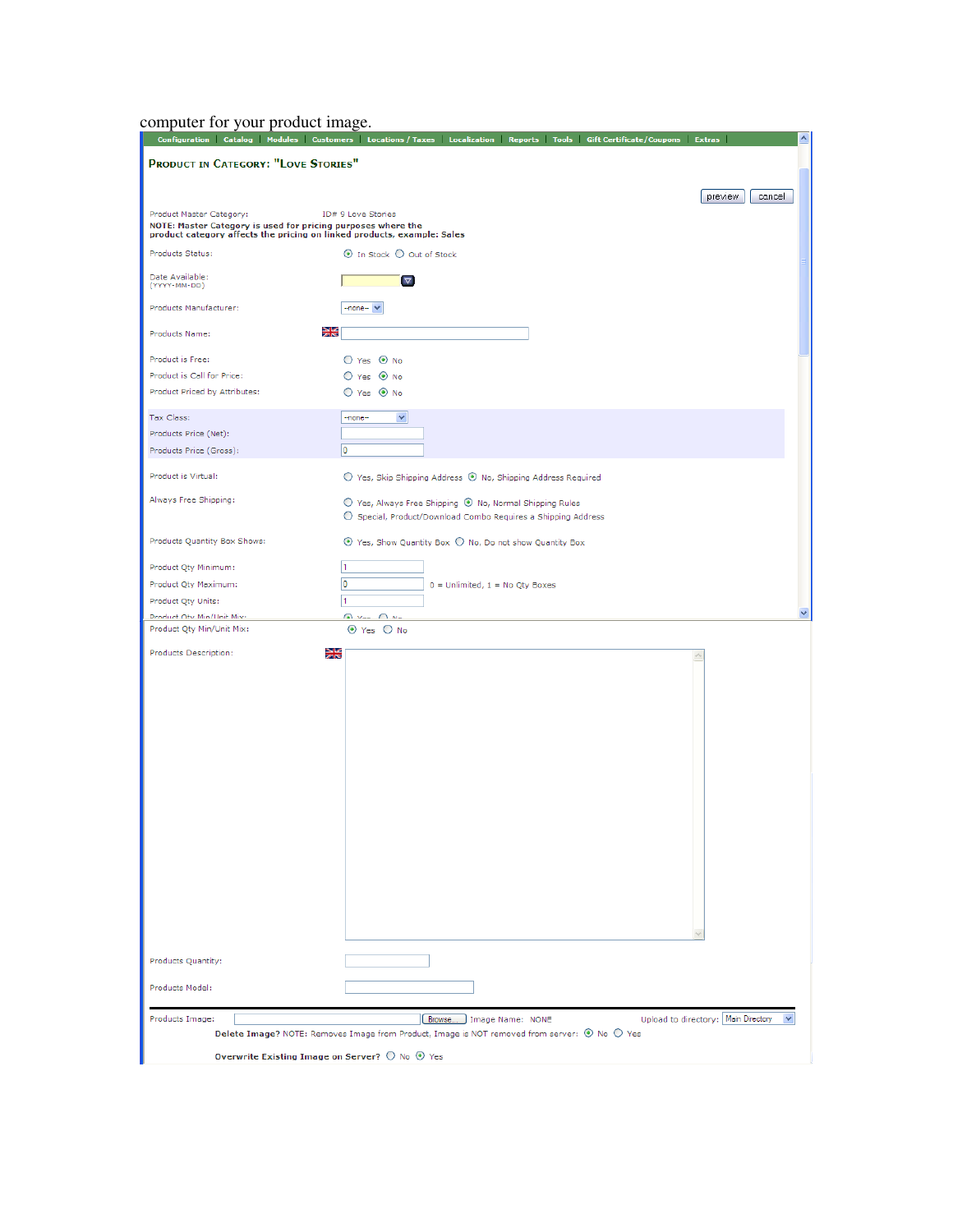computer for your product image.

| Configuration Catalog Modules Customers Locations / Taxes Localization Reports Tools Gift Certificate / Coupons Extras<br>۸             |                                                                                                                          |                                       |  |  |  |  |  |  |  |
|-----------------------------------------------------------------------------------------------------------------------------------------|--------------------------------------------------------------------------------------------------------------------------|---------------------------------------|--|--|--|--|--|--|--|
| PRODUCT IN CATEGORY: "LOVE STORIES"                                                                                                     |                                                                                                                          |                                       |  |  |  |  |  |  |  |
|                                                                                                                                         |                                                                                                                          |                                       |  |  |  |  |  |  |  |
|                                                                                                                                         |                                                                                                                          | preview<br>cancel                     |  |  |  |  |  |  |  |
| Product Master Category:                                                                                                                | ID# 9 Love Stories                                                                                                       |                                       |  |  |  |  |  |  |  |
| NOTE: Master Category is used for pricing purposes where the<br>product category affects the pricing on linked products, example: Sales |                                                                                                                          |                                       |  |  |  |  |  |  |  |
| Products Status:                                                                                                                        | ⊙ In Stock ○ Out of Stock                                                                                                |                                       |  |  |  |  |  |  |  |
| Date Available:<br>(YYYY-MM-DD)                                                                                                         | $\nabla$                                                                                                                 |                                       |  |  |  |  |  |  |  |
| Products Manufacturer:                                                                                                                  | -none- Y                                                                                                                 |                                       |  |  |  |  |  |  |  |
| 꾫<br>Products Name:                                                                                                                     |                                                                                                                          |                                       |  |  |  |  |  |  |  |
| Product is Free:                                                                                                                        | $O$ Yes $\odot$ No                                                                                                       |                                       |  |  |  |  |  |  |  |
| Product is Call for Price:                                                                                                              | O Yes <sup>O</sup> No                                                                                                    |                                       |  |  |  |  |  |  |  |
| Product Priced by Attributes:                                                                                                           | ○ Yes ⊙ No                                                                                                               |                                       |  |  |  |  |  |  |  |
| Tax Class:                                                                                                                              | v<br>-none-                                                                                                              |                                       |  |  |  |  |  |  |  |
| Products Price (Net):                                                                                                                   |                                                                                                                          |                                       |  |  |  |  |  |  |  |
| Products Price (Gross):                                                                                                                 | O                                                                                                                        |                                       |  |  |  |  |  |  |  |
| Product is Virtual:                                                                                                                     | $\bigcirc$ Yes, Skip Shipping Address $\bigcirc$ No, Shipping Address Required                                           |                                       |  |  |  |  |  |  |  |
| Always Free Shipping:                                                                                                                   | ○ Yes, Always Free Shipping ⊙ No, Normal Shipping Rules<br>○ Special, Product/Download Combo Requires a Shipping Address |                                       |  |  |  |  |  |  |  |
| Products Quantity Box Shows:                                                                                                            | $\odot$ Yes, Show Quantity Box $\bigcirc$ No, Do not show Quantity Box                                                   |                                       |  |  |  |  |  |  |  |
| Product Qty Minimum:                                                                                                                    | 1                                                                                                                        |                                       |  |  |  |  |  |  |  |
| Product Qty Maximum:                                                                                                                    | 0<br>$0 =$ Unlimited, $1 =$ No Qty Boxes                                                                                 |                                       |  |  |  |  |  |  |  |
| Product Qty Units:                                                                                                                      | 1                                                                                                                        |                                       |  |  |  |  |  |  |  |
| Product Oty Min/Hait Mix+                                                                                                               | Q Von O No                                                                                                               |                                       |  |  |  |  |  |  |  |
| Product Qty Min/Unit Mix:                                                                                                               | $\odot$ Yes $\odot$ No                                                                                                   |                                       |  |  |  |  |  |  |  |
| 꾏<br>Products Description:                                                                                                              |                                                                                                                          |                                       |  |  |  |  |  |  |  |
|                                                                                                                                         |                                                                                                                          |                                       |  |  |  |  |  |  |  |
|                                                                                                                                         |                                                                                                                          |                                       |  |  |  |  |  |  |  |
|                                                                                                                                         |                                                                                                                          |                                       |  |  |  |  |  |  |  |
|                                                                                                                                         |                                                                                                                          |                                       |  |  |  |  |  |  |  |
|                                                                                                                                         |                                                                                                                          |                                       |  |  |  |  |  |  |  |
|                                                                                                                                         |                                                                                                                          |                                       |  |  |  |  |  |  |  |
|                                                                                                                                         |                                                                                                                          |                                       |  |  |  |  |  |  |  |
|                                                                                                                                         |                                                                                                                          |                                       |  |  |  |  |  |  |  |
|                                                                                                                                         |                                                                                                                          |                                       |  |  |  |  |  |  |  |
|                                                                                                                                         |                                                                                                                          |                                       |  |  |  |  |  |  |  |
|                                                                                                                                         |                                                                                                                          |                                       |  |  |  |  |  |  |  |
|                                                                                                                                         |                                                                                                                          |                                       |  |  |  |  |  |  |  |
|                                                                                                                                         |                                                                                                                          |                                       |  |  |  |  |  |  |  |
|                                                                                                                                         |                                                                                                                          |                                       |  |  |  |  |  |  |  |
|                                                                                                                                         |                                                                                                                          |                                       |  |  |  |  |  |  |  |
|                                                                                                                                         |                                                                                                                          |                                       |  |  |  |  |  |  |  |
|                                                                                                                                         |                                                                                                                          |                                       |  |  |  |  |  |  |  |
|                                                                                                                                         |                                                                                                                          |                                       |  |  |  |  |  |  |  |
| Products Quantity:                                                                                                                      |                                                                                                                          |                                       |  |  |  |  |  |  |  |
| Products Model:                                                                                                                         |                                                                                                                          |                                       |  |  |  |  |  |  |  |
|                                                                                                                                         |                                                                                                                          |                                       |  |  |  |  |  |  |  |
| Products Image:                                                                                                                         | Browse<br>Image Name: NONE                                                                                               | Upload to directory:   Main Directory |  |  |  |  |  |  |  |
| Delete Image? NOTE: Removes Image from Product, Image is NOT removed from server: @ No @ Yes                                            |                                                                                                                          |                                       |  |  |  |  |  |  |  |
| Overwrite Existing Image on Server? $\bigcirc$ No $\bigcirc$ Yes                                                                        |                                                                                                                          |                                       |  |  |  |  |  |  |  |